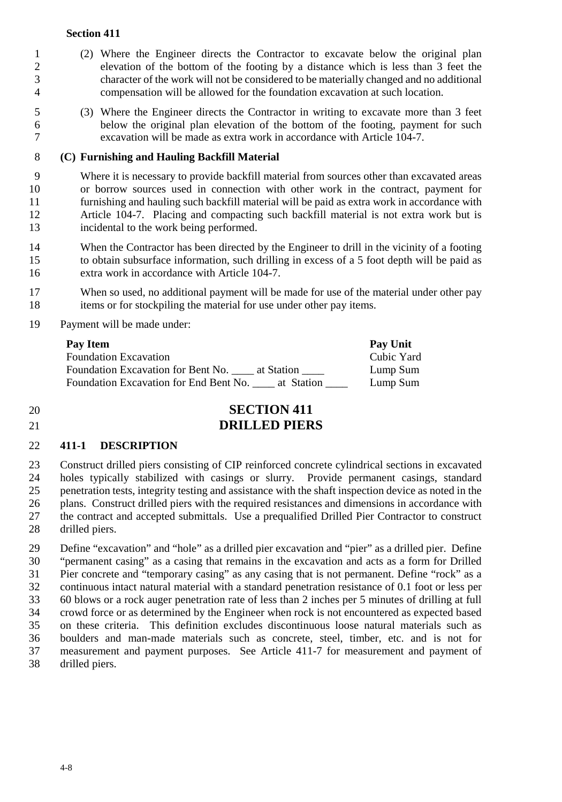- (2) Where the Engineer directs the Contractor to excavate below the original plan elevation of the bottom of the footing by a distance which is less than 3 feet the character of the work will not be considered to be materially changed and no additional compensation will be allowed for the foundation excavation at such location.
- (3) Where the Engineer directs the Contractor in writing to excavate more than 3 feet below the original plan elevation of the bottom of the footing, payment for such excavation will be made as extra work in accordance with Article 104-7.

#### **(C) Furnishing and Hauling Backfill Material**

 Where it is necessary to provide backfill material from sources other than excavated areas 10 or borrow sources used in connection with other work in the contract, payment for furnishing and hauling such backfill material will be paid as extra work in accordance with furnishing and hauling such backfill material will be paid as extra work in accordance with Article 104-7. Placing and compacting such backfill material is not extra work but is incidental to the work being performed.

- 14 When the Contractor has been directed by the Engineer to drill in the vicinity of a footing to obtain subsurface information, such drilling in excess of a 5 foot depth will be paid as extra work in accordance with Article 104-7.
- When so used, no additional payment will be made for use of the material under other pay items or for stockpiling the material for use under other pay items.
- Payment will be made under:

| Pay Item                                             | Pay Unit   |
|------------------------------------------------------|------------|
| <b>Foundation Excavation</b>                         | Cubic Yard |
| Foundation Excavation for Bent No.<br>at Station     | Lump Sum   |
| Foundation Excavation for End Bent No.<br>at Station | Lump Sum   |

# **SECTION 411 DRILLED PIERS**

#### **411-1 DESCRIPTION**

23 Construct drilled piers consisting of CIP reinforced concrete cylindrical sections in excavated<br>24 holes typically stabilized with casings or slurry. Provide permanent casings, standard holes typically stabilized with casings or slurry. Provide permanent casings, standard penetration tests, integrity testing and assistance with the shaft inspection device as noted in the plans. Construct drilled piers with the required resistances and dimensions in accordance with the contract and accepted submittals. Use a prequalified Drilled Pier Contractor to construct drilled piers.

29 Define "excavation" and "hole" as a drilled pier excavation and "pier" as a drilled pier. Define<br>30 "permanent casing" as a casing that remains in the excavation and acts as a form for Drilled "permanent casing" as a casing that remains in the excavation and acts as a form for Drilled Pier concrete and "temporary casing" as any casing that is not permanent. Define "rock" as a continuous intact natural material with a standard penetration resistance of 0.1 foot or less per 60 blows or a rock auger penetration rate of less than 2 inches per 5 minutes of drilling at full crowd force or as determined by the Engineer when rock is not encountered as expected based on these criteria. This definition excludes discontinuous loose natural materials such as boulders and man-made materials such as concrete, steel, timber, etc. and is not for measurement and payment purposes. See Article 411-7 for measurement and payment of drilled piers.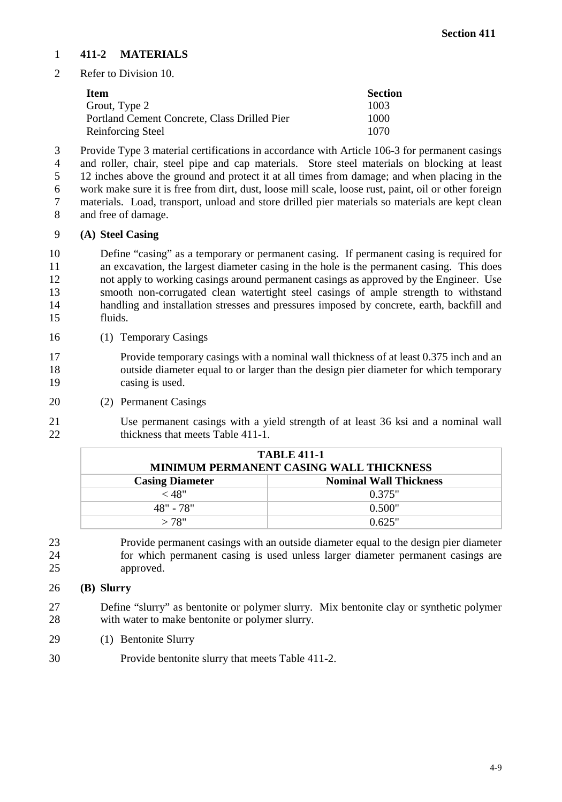#### **411-2 MATERIALS**

Refer to Division 10.

| Item                                         | <b>Section</b> |
|----------------------------------------------|----------------|
| Grout, Type 2                                | 1003           |
| Portland Cement Concrete, Class Drilled Pier | 1000           |
| Reinforcing Steel                            | 1070           |

 Provide Type 3 material certifications in accordance with Article 106-3 for permanent casings 4 and roller, chair, steel pipe and cap materials. Store steel materials on blocking at least 4 and 5 and 12 inches above the ground and protect it at all times from damage; and when placing in the 12 inches above the ground and protect it at all times from damage; and when placing in the work make sure it is free from dirt, dust, loose mill scale, loose rust, paint, oil or other foreign materials. Load, transport, unload and store drilled pier materials so materials are kept clean and free of damage.

#### **(A) Steel Casing**

 Define "casing" as a temporary or permanent casing. If permanent casing is required for an excavation, the largest diameter casing in the hole is the permanent casing. This does not apply to working casings around permanent casings as approved by the Engineer. Use smooth non-corrugated clean watertight steel casings of ample strength to withstand handling and installation stresses and pressures imposed by concrete, earth, backfill and fluids.

(1) Temporary Casings

 Provide temporary casings with a nominal wall thickness of at least 0.375 inch and an outside diameter equal to or larger than the design pier diameter for which temporary casing is used.

(2) Permanent Casings

 Use permanent casings with a yield strength of at least 36 ksi and a nominal wall 22 thickness that meets Table 411-1.

| <b>TABLE 411-1</b><br>MINIMUM PERMANENT CASING WALL THICKNESS |                               |  |
|---------------------------------------------------------------|-------------------------------|--|
| <b>Casing Diameter</b>                                        | <b>Nominal Wall Thickness</b> |  |
| $<$ 48"                                                       | 0.375"                        |  |
| 48" - 78"                                                     | 0.500"                        |  |
| >78"                                                          | 0.625"                        |  |

 Provide permanent casings with an outside diameter equal to the design pier diameter for which permanent casing is used unless larger diameter permanent casings are approved.

#### **(B) Slurry**

 Define "slurry" as bentonite or polymer slurry. Mix bentonite clay or synthetic polymer with water to make bentonite or polymer slurry.

- (1) Bentonite Slurry
- Provide bentonite slurry that meets Table 411-2.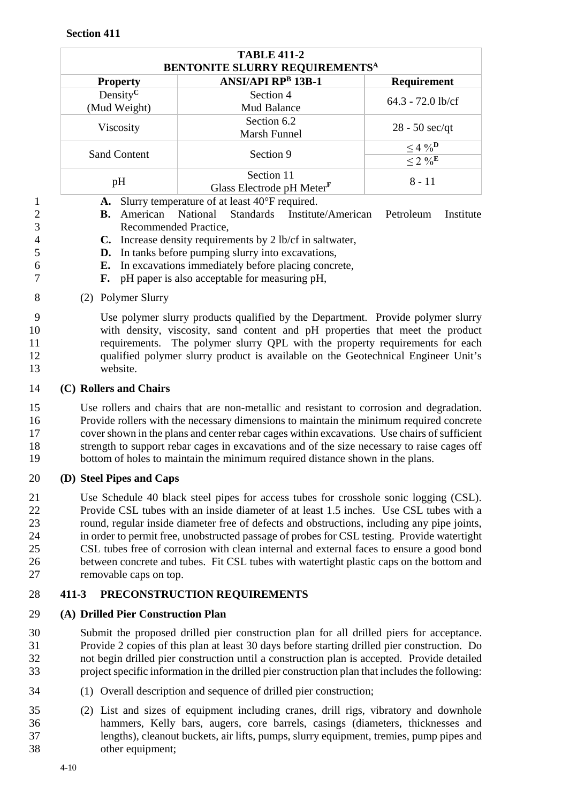| <b>TABLE 411-2</b><br>BENTONITE SLURRY REQUIREMENTS <sup>A</sup> |                                                     |                                                      |
|------------------------------------------------------------------|-----------------------------------------------------|------------------------------------------------------|
| <b>Property</b>                                                  | <b>ANSI/API RPB 13B-1</b>                           | <b>Requirement</b>                                   |
| Density <sup>C</sup><br>(Mud Weight)                             | Section 4<br>Mud Balance                            | $64.3 - 72.0$ lb/cf                                  |
| Viscosity                                                        | Section 6.2<br>Marsh Funnel                         | $28 - 50$ sec/qt                                     |
| <b>Sand Content</b>                                              | Section 9                                           | $\leq 4 \ \%^{\mathbf{D}}$<br>$\leq 2 \sqrt[9]{e^E}$ |
| pH                                                               | Section 11<br>Glass Electrode pH Meter <sup>F</sup> | $8 - 11$                                             |

- **A.** Slurry temperature of at least 40°F required.
- **B.** American National Standards Institute/American Petroleum Institute Recommended Practice,
- **C.** Increase density requirements by 2 lb/cf in saltwater,
- **D.** In tanks before pumping slurry into excavations,
- **E.** In excavations immediately before placing concrete,
- **F.** pH paper is also acceptable for measuring pH,
- (2) Polymer Slurry

#### Use polymer slurry products qualified by the Department. Provide polymer slurry with density, viscosity, sand content and pH properties that meet the product requirements. The polymer slurry QPL with the property requirements for each qualified polymer slurry product is available on the Geotechnical Engineer Unit's website.

## **(C) Rollers and Chairs**

 Use rollers and chairs that are non-metallic and resistant to corrosion and degradation. Provide rollers with the necessary dimensions to maintain the minimum required concrete cover shown in the plans and center rebar cages within excavations. Use chairs of sufficient strength to support rebar cages in excavations and of the size necessary to raise cages off bottom of holes to maintain the minimum required distance shown in the plans.

## **(D) Steel Pipes and Caps**

 Use Schedule 40 black steel pipes for access tubes for crosshole sonic logging (CSL). Provide CSL tubes with an inside diameter of at least 1.5 inches. Use CSL tubes with a round, regular inside diameter free of defects and obstructions, including any pipe joints, in order to permit free, unobstructed passage of probes for CSL testing. Provide watertight CSL tubes free of corrosion with clean internal and external faces to ensure a good bond between concrete and tubes. Fit CSL tubes with watertight plastic caps on the bottom and removable caps on top.

## **411-3 PRECONSTRUCTION REQUIREMENTS**

## **(A) Drilled Pier Construction Plan**

- Submit the proposed drilled pier construction plan for all drilled piers for acceptance. Provide 2 copies of this plan at least 30 days before starting drilled pier construction. Do not begin drilled pier construction until a construction plan is accepted. Provide detailed project specific information in the drilled pier construction plan that includes the following:
- (1) Overall description and sequence of drilled pier construction;
- (2) List and sizes of equipment including cranes, drill rigs, vibratory and downhole hammers, Kelly bars, augers, core barrels, casings (diameters, thicknesses and lengths), cleanout buckets, air lifts, pumps, slurry equipment, tremies, pump pipes and other equipment;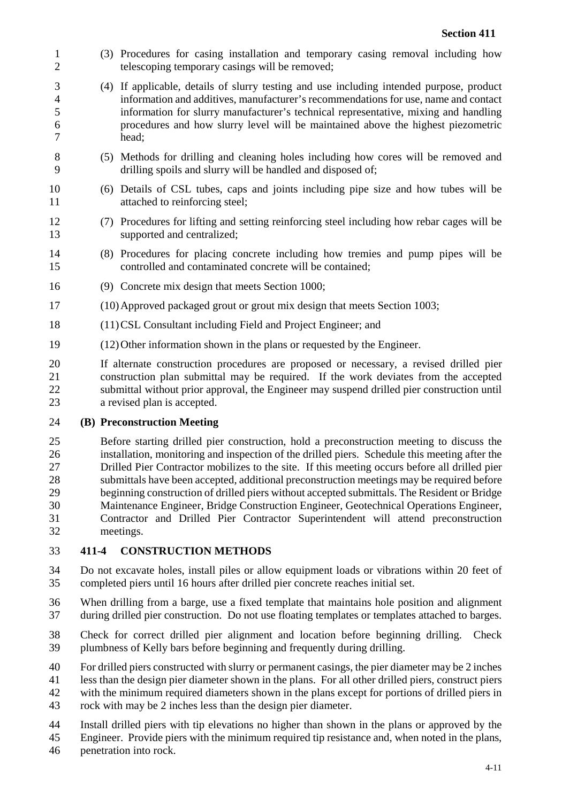- (3) Procedures for casing installation and temporary casing removal including how telescoping temporary casings will be removed;
- (4) If applicable, details of slurry testing and use including intended purpose, product information and additives, manufacturer's recommendations for use, name and contact information for slurry manufacturer's technical representative, mixing and handling procedures and how slurry level will be maintained above the highest piezometric head;
- (5) Methods for drilling and cleaning holes including how cores will be removed and drilling spoils and slurry will be handled and disposed of;
- (6) Details of CSL tubes, caps and joints including pipe size and how tubes will be 11 attached to reinforcing steel;
- (7) Procedures for lifting and setting reinforcing steel including how rebar cages will be supported and centralized;
- (8) Procedures for placing concrete including how tremies and pump pipes will be controlled and contaminated concrete will be contained;
- (9) Concrete mix design that meets Section 1000;
- (10)Approved packaged grout or grout mix design that meets Section 1003;
- (11)CSL Consultant including Field and Project Engineer; and
- (12)Other information shown in the plans or requested by the Engineer.

 If alternate construction procedures are proposed or necessary, a revised drilled pier construction plan submittal may be required. If the work deviates from the accepted submittal without prior approval, the Engineer may suspend drilled pier construction until a revised plan is accepted.

#### **(B) Preconstruction Meeting**

 Before starting drilled pier construction, hold a preconstruction meeting to discuss the installation, monitoring and inspection of the drilled piers. Schedule this meeting after the Drilled Pier Contractor mobilizes to the site. If this meeting occurs before all drilled pier submittals have been accepted, additional preconstruction meetings may be required before beginning construction of drilled piers without accepted submittals. The Resident or Bridge Maintenance Engineer, Bridge Construction Engineer, Geotechnical Operations Engineer, Contractor and Drilled Pier Contractor Superintendent will attend preconstruction meetings.

#### **411-4 CONSTRUCTION METHODS**

- Do not excavate holes, install piles or allow equipment loads or vibrations within 20 feet of completed piers until 16 hours after drilled pier concrete reaches initial set.
- When drilling from a barge, use a fixed template that maintains hole position and alignment during drilled pier construction. Do not use floating templates or templates attached to barges.
- Check for correct drilled pier alignment and location before beginning drilling. Check plumbness of Kelly bars before beginning and frequently during drilling.
- For drilled piers constructed with slurry or permanent casings, the pier diameter may be 2 inches
- less than the design pier diameter shown in the plans. For all other drilled piers, construct piers
- with the minimum required diameters shown in the plans except for portions of drilled piers in
- rock with may be 2 inches less than the design pier diameter.
- Install drilled piers with tip elevations no higher than shown in the plans or approved by the
- Engineer. Provide piers with the minimum required tip resistance and, when noted in the plans,
- penetration into rock.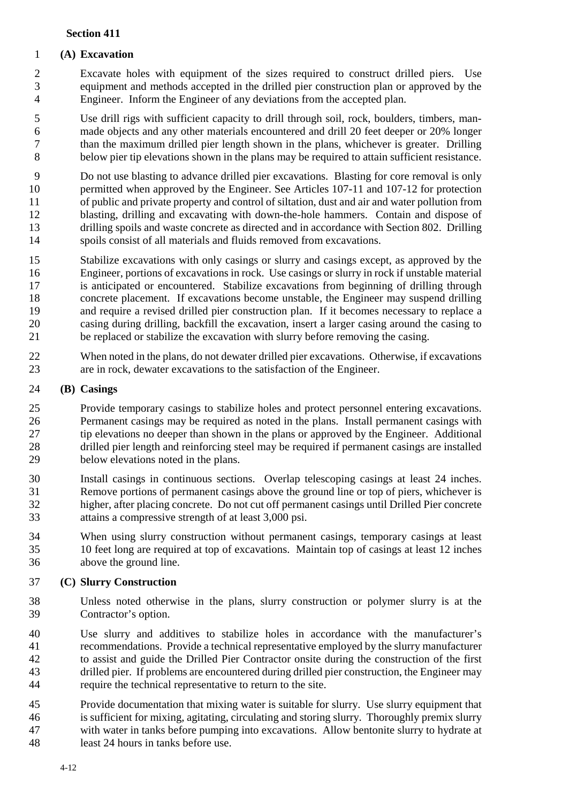## **(A) Excavation**

 Excavate holes with equipment of the sizes required to construct drilled piers. Use equipment and methods accepted in the drilled pier construction plan or approved by the Engineer. Inform the Engineer of any deviations from the accepted plan.

 Use drill rigs with sufficient capacity to drill through soil, rock, boulders, timbers, man- made objects and any other materials encountered and drill 20 feet deeper or 20% longer than the maximum drilled pier length shown in the plans, whichever is greater. Drilling below pier tip elevations shown in the plans may be required to attain sufficient resistance.

 Do not use blasting to advance drilled pier excavations. Blasting for core removal is only permitted when approved by the Engineer. See Articles 107-11 and 107-12 for protection of public and private property and control of siltation, dust and air and water pollution from blasting, drilling and excavating with down-the-hole hammers. Contain and dispose of drilling spoils and waste concrete as directed and in accordance with Section 802. Drilling spoils consist of all materials and fluids removed from excavations.

- Stabilize excavations with only casings or slurry and casings except, as approved by the Engineer, portions of excavations in rock. Use casings or slurry in rock if unstable material is anticipated or encountered. Stabilize excavations from beginning of drilling through concrete placement. If excavations become unstable, the Engineer may suspend drilling and require a revised drilled pier construction plan. If it becomes necessary to replace a casing during drilling, backfill the excavation, insert a larger casing around the casing to be replaced or stabilize the excavation with slurry before removing the casing.
- 22 When noted in the plans, do not dewater drilled pier excavations. Otherwise, if excavations are in rock, dewater excavations to the satisfaction of the Engineer. are in rock, dewater excavations to the satisfaction of the Engineer.

## **(B) Casings**

 Provide temporary casings to stabilize holes and protect personnel entering excavations. Permanent casings may be required as noted in the plans. Install permanent casings with tip elevations no deeper than shown in the plans or approved by the Engineer. Additional 28 drilled pier length and reinforcing steel may be required if permanent casings are installed below elevations noted in the plans. below elevations noted in the plans.

- Install casings in continuous sections. Overlap telescoping casings at least 24 inches. 31 Remove portions of permanent casings above the ground line or top of piers, whichever is<br>32 higher, after placing concrete. Do not cut off permanent casings until Drilled Pier concrete higher, after placing concrete. Do not cut off permanent casings until Drilled Pier concrete attains a compressive strength of at least 3,000 psi.
- When using slurry construction without permanent casings, temporary casings at least 10 feet long are required at top of excavations. Maintain top of casings at least 12 inches above the ground line.

## **(C) Slurry Construction**

- Unless noted otherwise in the plans, slurry construction or polymer slurry is at the Contractor's option.
- Use slurry and additives to stabilize holes in accordance with the manufacturer's recommendations. Provide a technical representative employed by the slurry manufacturer to assist and guide the Drilled Pier Contractor onsite during the construction of the first drilled pier. If problems are encountered during drilled pier construction, the Engineer may require the technical representative to return to the site.
- Provide documentation that mixing water is suitable for slurry. Use slurry equipment that is sufficient for mixing, agitating, circulating and storing slurry. Thoroughly premix slurry with water in tanks before pumping into excavations. Allow bentonite slurry to hydrate at
- least 24 hours in tanks before use.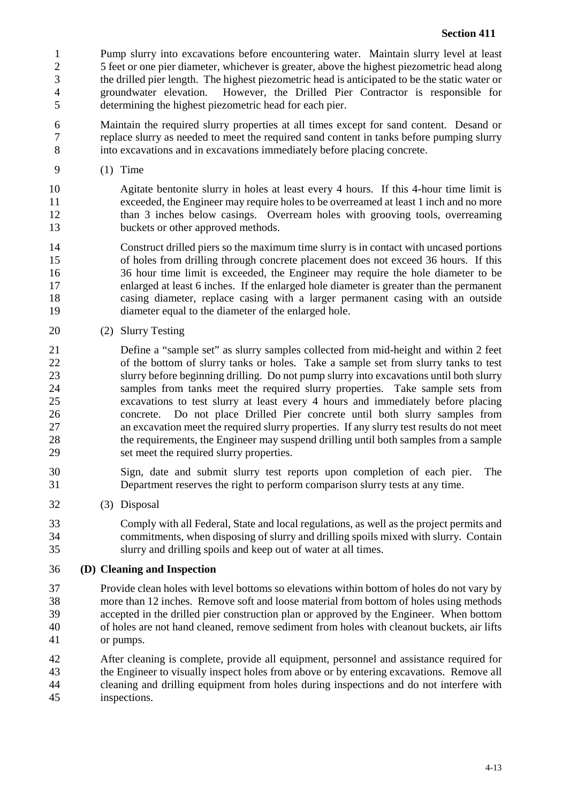1 Pump slurry into excavations before encountering water. Maintain slurry level at least 2 5 feet or one pier diameter, whichever is greater, above the highest piezometric head along 2 5 feet or one pier diameter, whichever is greater, above the highest piezometric head along<br>3 the drilled pier length. The highest piezometric head is anticipated to be the static water or the drilled pier length. The highest piezometric head is anticipated to be the static water or groundwater elevation. However, the Drilled Pier Contractor is responsible for determining the highest piezometric head for each pier.

 Maintain the required slurry properties at all times except for sand content. Desand or replace slurry as needed to meet the required sand content in tanks before pumping slurry into excavations and in excavations immediately before placing concrete.

(1) Time

 Agitate bentonite slurry in holes at least every 4 hours. If this 4-hour time limit is exceeded, the Engineer may require holes to be overreamed at least 1 inch and no more than 3 inches below casings. Overream holes with grooving tools, overreaming 13 buckets or other approved methods.

- Construct drilled piers so the maximum time slurry is in contact with uncased portions of holes from drilling through concrete placement does not exceed 36 hours. If this 36 hour time limit is exceeded, the Engineer may require the hole diameter to be enlarged at least 6 inches. If the enlarged hole diameter is greater than the permanent casing diameter, replace casing with a larger permanent casing with an outside diameter equal to the diameter of the enlarged hole.
- (2) Slurry Testing
- Define a "sample set" as slurry samples collected from mid-height and within 2 feet of the bottom of slurry tanks or holes. Take a sample set from slurry tanks to test slurry before beginning drilling. Do not pump slurry into excavations until both slurry samples from tanks meet the required slurry properties. Take sample sets from excavations to test slurry at least every 4 hours and immediately before placing concrete. Do not place Drilled Pier concrete until both slurry samples from an excavation meet the required slurry properties. If any slurry test results do not meet the requirements, the Engineer may suspend drilling until both samples from a sample set meet the required slurry properties.
- Sign, date and submit slurry test reports upon completion of each pier. The Department reserves the right to perform comparison slurry tests at any time.
- (3) Disposal
- Comply with all Federal, State and local regulations, as well as the project permits and commitments, when disposing of slurry and drilling spoils mixed with slurry. Contain slurry and drilling spoils and keep out of water at all times.
- **(D) Cleaning and Inspection**
- Provide clean holes with level bottoms so elevations within bottom of holes do not vary by more than 12 inches. Remove soft and loose material from bottom of holes using methods accepted in the drilled pier construction plan or approved by the Engineer. When bottom of holes are not hand cleaned, remove sediment from holes with cleanout buckets, air lifts or pumps.
- After cleaning is complete, provide all equipment, personnel and assistance required for the Engineer to visually inspect holes from above or by entering excavations. Remove all cleaning and drilling equipment from holes during inspections and do not interfere with inspections.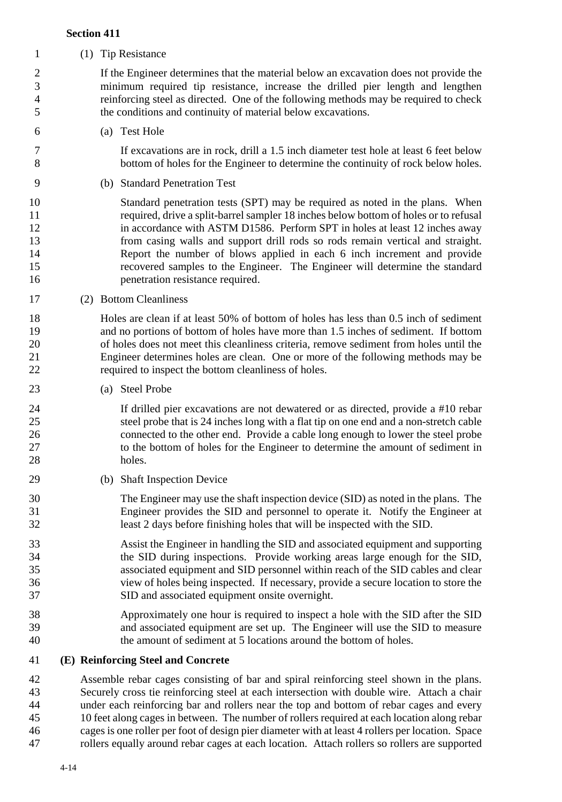(1) Tip Resistance

 If the Engineer determines that the material below an excavation does not provide the minimum required tip resistance, increase the drilled pier length and lengthen reinforcing steel as directed. One of the following methods may be required to check the conditions and continuity of material below excavations.

(a) Test Hole

 If excavations are in rock, drill a 1.5 inch diameter test hole at least 6 feet below bottom of holes for the Engineer to determine the continuity of rock below holes.

(b) Standard Penetration Test

 Standard penetration tests (SPT) may be required as noted in the plans. When required, drive a split-barrel sampler 18 inches below bottom of holes or to refusal 12 in accordance with ASTM D1586. Perform SPT in holes at least 12 inches away from casing walls and support drill rods so rods remain vertical and straight. Report the number of blows applied in each 6 inch increment and provide recovered samples to the Engineer. The Engineer will determine the standard penetration resistance required.

(2) Bottom Cleanliness

 Holes are clean if at least 50% of bottom of holes has less than 0.5 inch of sediment and no portions of bottom of holes have more than 1.5 inches of sediment. If bottom of holes does not meet this cleanliness criteria, remove sediment from holes until the Engineer determines holes are clean. One or more of the following methods may be required to inspect the bottom cleanliness of holes.

(a) Steel Probe

 If drilled pier excavations are not dewatered or as directed, provide a #10 rebar steel probe that is 24 inches long with a flat tip on one end and a non-stretch cable connected to the other end. Provide a cable long enough to lower the steel probe to the bottom of holes for the Engineer to determine the amount of sediment in holes.

(b) Shaft Inspection Device

 The Engineer may use the shaft inspection device (SID) as noted in the plans. The Engineer provides the SID and personnel to operate it. Notify the Engineer at least 2 days before finishing holes that will be inspected with the SID.

 Assist the Engineer in handling the SID and associated equipment and supporting the SID during inspections. Provide working areas large enough for the SID, associated equipment and SID personnel within reach of the SID cables and clear view of holes being inspected. If necessary, provide a secure location to store the SID and associated equipment onsite overnight.

- Approximately one hour is required to inspect a hole with the SID after the SID and associated equipment are set up. The Engineer will use the SID to measure the amount of sediment at 5 locations around the bottom of holes.
- **(E) Reinforcing Steel and Concrete**

 Assemble rebar cages consisting of bar and spiral reinforcing steel shown in the plans. 43 Securely cross tie reinforcing steel at each intersection with double wire. Attach a chair<br>44 under each reinforcing bar and rollers near the top and bottom of rebar cages and every under each reinforcing bar and rollers near the top and bottom of rebar cages and every 10 feet along cages in between. The number of rollers required at each location along rebar cages is one roller per foot of design pier diameter with at least 4 rollers per location. Space rollers equally around rebar cages at each location. Attach rollers so rollers are supported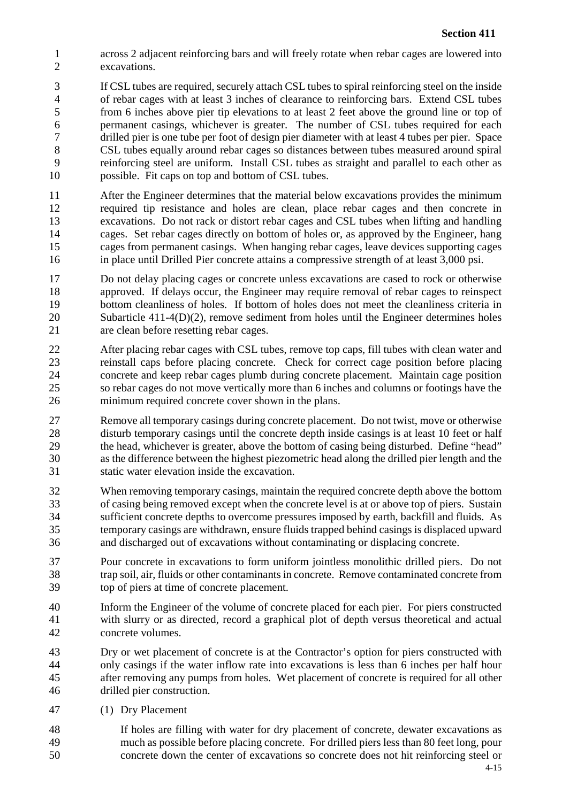- 1 across 2 adjacent reinforcing bars and will freely rotate when rebar cages are lowered into<br>2 excavations. excavations.
- If CSL tubes are required, securely attach CSL tubes to spiral reinforcing steel on the inside of rebar cages with at least 3 inches of clearance to reinforcing bars. Extend CSL tubes from 6 inches above pier tip elevations to at least 2 feet above the ground line or top of permanent casings, whichever is greater. The number of CSL tubes required for each drilled pier is one tube per foot of design pier diameter with at least 4 tubes per pier. Space CSL tubes equally around rebar cages so distances between tubes measured around spiral reinforcing steel are uniform. Install CSL tubes as straight and parallel to each other as possible. Fit caps on top and bottom of CSL tubes.
- After the Engineer determines that the material below excavations provides the minimum required tip resistance and holes are clean, place rebar cages and then concrete in excavations. Do not rack or distort rebar cages and CSL tubes when lifting and handling cages. Set rebar cages directly on bottom of holes or, as approved by the Engineer, hang cages from permanent casings. When hanging rebar cages, leave devices supporting cages in place until Drilled Pier concrete attains a compressive strength of at least 3,000 psi.
- Do not delay placing cages or concrete unless excavations are cased to rock or otherwise approved. If delays occur, the Engineer may require removal of rebar cages to reinspect bottom cleanliness of holes. If bottom of holes does not meet the cleanliness criteria in 20 Subarticle  $411-4(D)(2)$ , remove sediment from holes until the Engineer determines holes are clean before resetting rebar cages.
- After placing rebar cages with CSL tubes, remove top caps, fill tubes with clean water and reinstall caps before placing concrete. Check for correct cage position before placing concrete and keep rebar cages plumb during concrete placement. Maintain cage position so rebar cages do not move vertically more than 6 inches and columns or footings have the minimum required concrete cover shown in the plans.
- Remove all temporary casings during concrete placement. Do not twist, move or otherwise disturb temporary casings until the concrete depth inside casings is at least 10 feet or half the head, whichever is greater, above the bottom of casing being disturbed. Define "head" as the difference between the highest piezometric head along the drilled pier length and the static water elevation inside the excavation.
- When removing temporary casings, maintain the required concrete depth above the bottom of casing being removed except when the concrete level is at or above top of piers. Sustain sufficient concrete depths to overcome pressures imposed by earth, backfill and fluids. As temporary casings are withdrawn, ensure fluids trapped behind casings is displaced upward and discharged out of excavations without contaminating or displacing concrete.
- Pour concrete in excavations to form uniform jointless monolithic drilled piers. Do not trap soil, air, fluids or other contaminants in concrete. Remove contaminated concrete from top of piers at time of concrete placement.
- Inform the Engineer of the volume of concrete placed for each pier. For piers constructed with slurry or as directed, record a graphical plot of depth versus theoretical and actual concrete volumes.
- Dry or wet placement of concrete is at the Contractor's option for piers constructed with only casings if the water inflow rate into excavations is less than 6 inches per half hour after removing any pumps from holes. Wet placement of concrete is required for all other drilled pier construction.
- (1) Dry Placement
- If holes are filling with water for dry placement of concrete, dewater excavations as much as possible before placing concrete. For drilled piers less than 80 feet long, pour concrete down the center of excavations so concrete does not hit reinforcing steel or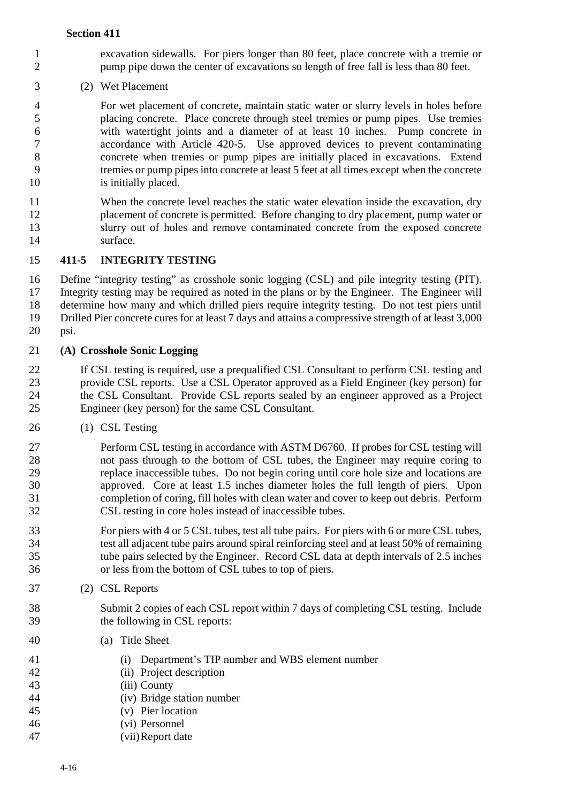- excavation sidewalls. For piers longer than 80 feet, place concrete with a tremie or pump pipe down the center of excavations so length of free fall is less than 80 feet.
- (2) Wet Placement

 For wet placement of concrete, maintain static water or slurry levels in holes before placing concrete. Place concrete through steel tremies or pump pipes. Use tremies with watertight joints and a diameter of at least 10 inches. Pump concrete in accordance with Article 420-5. Use approved devices to prevent contaminating concrete when tremies or pump pipes are initially placed in excavations. Extend tremies or pump pipes into concrete at least 5 feet at all times except when the concrete 10 is initially placed.

 When the concrete level reaches the static water elevation inside the excavation, dry placement of concrete is permitted. Before changing to dry placement, pump water or slurry out of holes and remove contaminated concrete from the exposed concrete surface.

# **411-5 INTEGRITY TESTING**

 Define "integrity testing" as crosshole sonic logging (CSL) and pile integrity testing (PIT). Integrity testing may be required as noted in the plans or by the Engineer. The Engineer will determine how many and which drilled piers require integrity testing. Do not test piers until Drilled Pier concrete cures for at least 7 days and attains a compressive strength of at least 3,000 psi.

**(A) Crosshole Sonic Logging**

 If CSL testing is required, use a prequalified CSL Consultant to perform CSL testing and provide CSL reports. Use a CSL Operator approved as a Field Engineer (key person) for the CSL Consultant. Provide CSL reports sealed by an engineer approved as a Project Engineer (key person) for the same CSL Consultant.

(1) CSL Testing

 Perform CSL testing in accordance with ASTM D6760. If probes for CSL testing will not pass through to the bottom of CSL tubes, the Engineer may require coring to replace inaccessible tubes. Do not begin coring until core hole size and locations are approved. Core at least 1.5 inches diameter holes the full length of piers. Upon completion of coring, fill holes with clean water and cover to keep out debris. Perform CSL testing in core holes instead of inaccessible tubes.

 For piers with 4 or 5 CSL tubes, test all tube pairs. For piers with 6 or more CSL tubes, test all adjacent tube pairs around spiral reinforcing steel and at least 50% of remaining tube pairs selected by the Engineer. Record CSL data at depth intervals of 2.5 inches or less from the bottom of CSL tubes to top of piers.

(2) CSL Reports

 Submit 2 copies of each CSL report within 7 days of completing CSL testing. Include the following in CSL reports:

- (a) Title Sheet
- (i) Department's TIP number and WBS element number
- (ii) Project description
- (iii) County
- (iv) Bridge station number
- (v) Pier location
- (vi) Personnel
- (vii)Report date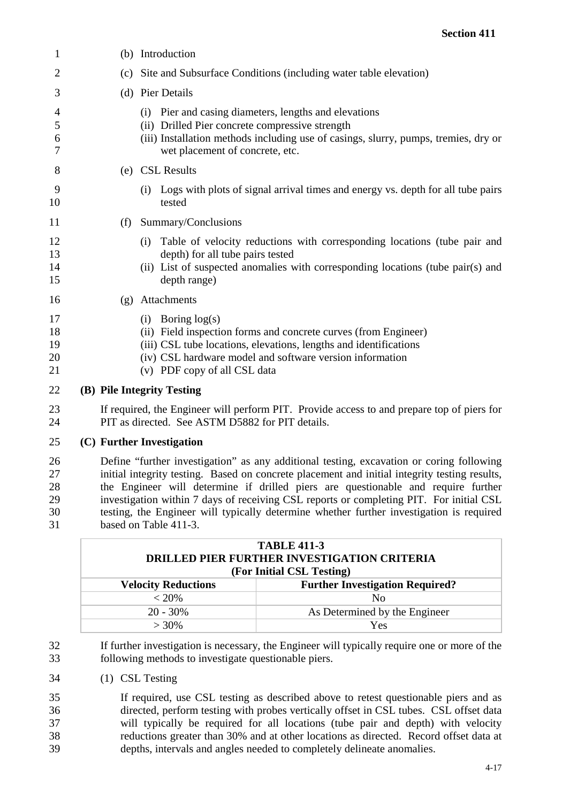| 1                          |     | (b) Introduction                                                                                                                                                                                                                                           |
|----------------------------|-----|------------------------------------------------------------------------------------------------------------------------------------------------------------------------------------------------------------------------------------------------------------|
| 2                          |     | (c) Site and Subsurface Conditions (including water table elevation)                                                                                                                                                                                       |
| 3                          |     | (d) Pier Details                                                                                                                                                                                                                                           |
| 4<br>5<br>6<br>7           |     | (i) Pier and casing diameters, lengths and elevations<br>(ii) Drilled Pier concrete compressive strength<br>(iii) Installation methods including use of casings, slurry, pumps, tremies, dry or<br>wet placement of concrete, etc.                         |
| 8                          |     | (e) CSL Results                                                                                                                                                                                                                                            |
| 9<br>10                    |     | Logs with plots of signal arrival times and energy vs. depth for all tube pairs<br>(i)<br>tested                                                                                                                                                           |
| 11                         | (f) | Summary/Conclusions                                                                                                                                                                                                                                        |
| 12<br>13<br>14<br>15       |     | Table of velocity reductions with corresponding locations (tube pair and<br>(i)<br>depth) for all tube pairs tested<br>(ii) List of suspected anomalies with corresponding locations (tube pair(s) and<br>depth range)                                     |
| 16                         | (g) | Attachments                                                                                                                                                                                                                                                |
| 17<br>18<br>19<br>20<br>21 |     | Boring $log(s)$<br>(i)<br>(ii) Field inspection forms and concrete curves (from Engineer)<br>(iii) CSL tube locations, elevations, lengths and identifications<br>(iv) CSL hardware model and software version information<br>(v) PDF copy of all CSL data |
| 22                         |     | (B) Pile Integrity Testing                                                                                                                                                                                                                                 |
| 23<br>24                   |     | If required, the Engineer will perform PIT. Provide access to and prepare top of piers for<br>PIT as directed. See ASTM D5882 for PIT details.                                                                                                             |
| 25                         |     | (C) Further Investigation                                                                                                                                                                                                                                  |

 Define "further investigation" as any additional testing, excavation or coring following initial integrity testing. Based on concrete placement and initial integrity testing results, the Engineer will determine if drilled piers are questionable and require further investigation within 7 days of receiving CSL reports or completing PIT. For initial CSL testing, the Engineer will typically determine whether further investigation is required based on Table 411-3.

| <b>TABLE 411-3</b><br><b>DRILLED PIER FURTHER INVESTIGATION CRITERIA</b><br>(For Initial CSL Testing) |                                        |
|-------------------------------------------------------------------------------------------------------|----------------------------------------|
| <b>Velocity Reductions</b>                                                                            | <b>Further Investigation Required?</b> |
| $< 20\%$                                                                                              | N <sub>0</sub>                         |
| $20 - 30\%$                                                                                           | As Determined by the Engineer          |
| $> 30\%$                                                                                              | Yes                                    |

 If further investigation is necessary, the Engineer will typically require one or more of the following methods to investigate questionable piers.

(1) CSL Testing

 If required, use CSL testing as described above to retest questionable piers and as directed, perform testing with probes vertically offset in CSL tubes. CSL offset data will typically be required for all locations (tube pair and depth) with velocity reductions greater than 30% and at other locations as directed. Record offset data at depths, intervals and angles needed to completely delineate anomalies.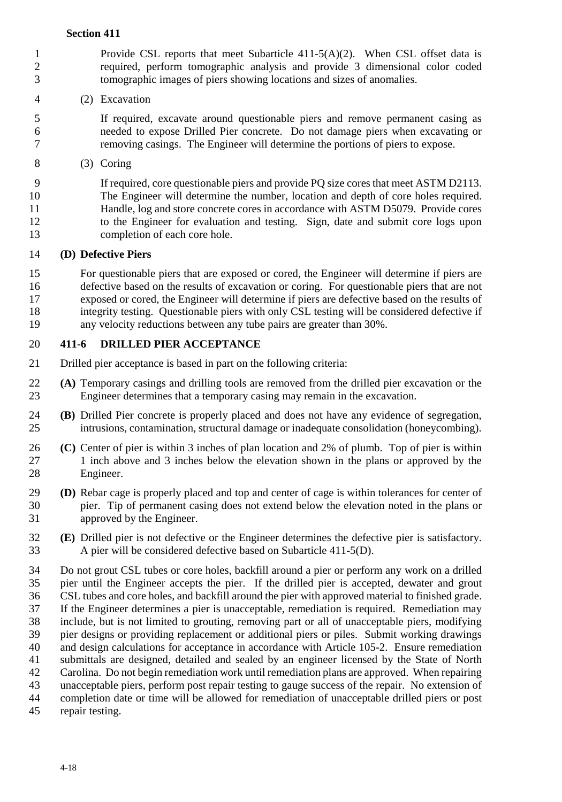- 1 Provide CSL reports that meet Subarticle 411-5(A)(2). When CSL offset data is<br>2 required, perform tomographic analysis and provide 3 dimensional color coded required, perform tomographic analysis and provide 3 dimensional color coded tomographic images of piers showing locations and sizes of anomalies.
- (2) Excavation

 If required, excavate around questionable piers and remove permanent casing as needed to expose Drilled Pier concrete. Do not damage piers when excavating or removing casings. The Engineer will determine the portions of piers to expose.

(3) Coring

 If required, core questionable piers and provide PQ size cores that meet ASTM D2113. The Engineer will determine the number, location and depth of core holes required. Handle, log and store concrete cores in accordance with ASTM D5079. Provide cores to the Engineer for evaluation and testing. Sign, date and submit core logs upon completion of each core hole.

# **(D) Defective Piers**

 For questionable piers that are exposed or cored, the Engineer will determine if piers are defective based on the results of excavation or coring. For questionable piers that are not exposed or cored, the Engineer will determine if piers are defective based on the results of integrity testing. Questionable piers with only CSL testing will be considered defective if any velocity reductions between any tube pairs are greater than 30%.

# **411-6 DRILLED PIER ACCEPTANCE**

- Drilled pier acceptance is based in part on the following criteria:
- **(A)** Temporary casings and drilling tools are removed from the drilled pier excavation or the Engineer determines that a temporary casing may remain in the excavation. Engineer determines that a temporary casing may remain in the excavation.
- **(B)** Drilled Pier concrete is properly placed and does not have any evidence of segregation, intrusions, contamination, structural damage or inadequate consolidation (honeycombing).
- **(C)** Center of pier is within 3 inches of plan location and 2% of plumb. Top of pier is within 1 inch above and 3 inches below the elevation shown in the plans or approved by the Engineer.
- **(D)** Rebar cage is properly placed and top and center of cage is within tolerances for center of pier. Tip of permanent casing does not extend below the elevation noted in the plans or approved by the Engineer.
- **(E)** Drilled pier is not defective or the Engineer determines the defective pier is satisfactory. A pier will be considered defective based on Subarticle 411-5(D).
- Do not grout CSL tubes or core holes, backfill around a pier or perform any work on a drilled pier until the Engineer accepts the pier. If the drilled pier is accepted, dewater and grout CSL tubes and core holes, and backfill around the pier with approved material to finished grade. 37 If the Engineer determines a pier is unacceptable, remediation is required. Remediation may include, but is not limited to grouting, removing part or all of unacceptable piers, modifying include, but is not limited to grouting, removing part or all of unacceptable piers, modifying pier designs or providing replacement or additional piers or piles. Submit working drawings and design calculations for acceptance in accordance with Article 105-2. Ensure remediation submittals are designed, detailed and sealed by an engineer licensed by the State of North Carolina. Do not begin remediation work until remediation plans are approved. When repairing unacceptable piers, perform post repair testing to gauge success of the repair. No extension of completion date or time will be allowed for remediation of unacceptable drilled piers or post
- repair testing.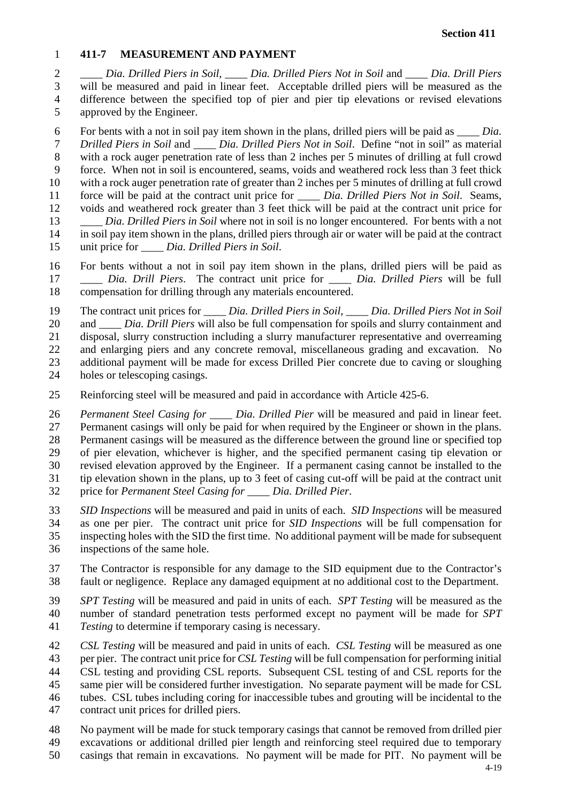#### **411-7 MEASUREMENT AND PAYMENT**

 *\_\_\_\_ Dia. Drilled Piers in Soil*, *\_\_\_\_ Dia. Drilled Piers Not in Soil* and *\_\_\_\_ Dia. Drill Piers*  will be measured and paid in linear feet. Acceptable drilled piers will be measured as the difference between the specified top of pier and pier tip elevations or revised elevations approved by the Engineer.

 For bents with a not in soil pay item shown in the plans, drilled piers will be paid as *\_\_\_\_ Dia. Drilled Piers in Soil* and *\_\_\_\_ Dia. Drilled Piers Not in Soil*. Define "not in soil" as material with a rock auger penetration rate of less than 2 inches per 5 minutes of drilling at full crowd force. When not in soil is encountered, seams, voids and weathered rock less than 3 feet thick with a rock auger penetration rate of greater than 2 inches per 5 minutes of drilling at full crowd force will be paid at the contract unit price for *\_\_\_\_ Dia. Drilled Piers Not in Soil*. Seams, voids and weathered rock greater than 3 feet thick will be paid at the contract unit price for *\_\_\_\_ Dia. Drilled Piers in Soil* where not in soil is no longer encountered. For bents with a not in soil pay item shown in the plans, drilled piers through air or water will be paid at the contract unit price for *\_\_\_\_ Dia. Drilled Piers in Soil*.

 For bents without a not in soil pay item shown in the plans, drilled piers will be paid as *\_\_\_\_ Dia. Drill Piers*. The contract unit price for *\_\_\_\_ Dia. Drilled Piers* will be full compensation for drilling through any materials encountered.

The contract unit prices for *\_\_\_\_ Dia. Drilled Piers in Soil*, *\_\_\_\_ Dia. Drilled Piers Not in Soil* 

and *\_\_\_\_ Dia. Drill Piers* will also be full compensation for spoils and slurry containment and

disposal, slurry construction including a slurry manufacturer representative and overreaming

 and enlarging piers and any concrete removal, miscellaneous grading and excavation. No additional payment will be made for excess Drilled Pier concrete due to caving or sloughing

- holes or telescoping casings.
- Reinforcing steel will be measured and paid in accordance with Article 425-6.

 *Permanent Steel Casing for \_\_\_\_ Dia. Drilled Pier* will be measured and paid in linear feet. Permanent casings will only be paid for when required by the Engineer or shown in the plans. Permanent casings will be measured as the difference between the ground line or specified top of pier elevation, whichever is higher, and the specified permanent casing tip elevation or revised elevation approved by the Engineer. If a permanent casing cannot be installed to the 31 tip elevation shown in the plans, up to 3 feet of casing cut-off will be paid at the contract unit<br>32 price for *Permanent Steel Casing for Dia. Drilled Pier*. price for *Permanent Steel Casing for \_\_\_\_ Dia. Drilled Pier*.

 *SID Inspections* will be measured and paid in units of each. *SID Inspections* will be measured as one per pier. The contract unit price for *SID Inspections* will be full compensation for inspecting holes with the SID the first time. No additional payment will be made for subsequent

inspections of the same hole.

 The Contractor is responsible for any damage to the SID equipment due to the Contractor's fault or negligence. Replace any damaged equipment at no additional cost to the Department.

 *SPT Testing* will be measured and paid in units of each. *SPT Testing* will be measured as the number of standard penetration tests performed except no payment will be made for *SPT* 

*Testing* to determine if temporary casing is necessary.

*CSL Testing* will be measured and paid in units of each. *CSL Testing* will be measured as one

per pier. The contract unit price for *CSL Testing* will be full compensation for performing initial

CSL testing and providing CSL reports. Subsequent CSL testing of and CSL reports for the

same pier will be considered further investigation. No separate payment will be made for CSL

tubes. CSL tubes including coring for inaccessible tubes and grouting will be incidental to the

contract unit prices for drilled piers.

No payment will be made for stuck temporary casings that cannot be removed from drilled pier

excavations or additional drilled pier length and reinforcing steel required due to temporary

casings that remain in excavations. No payment will be made for PIT. No payment will be